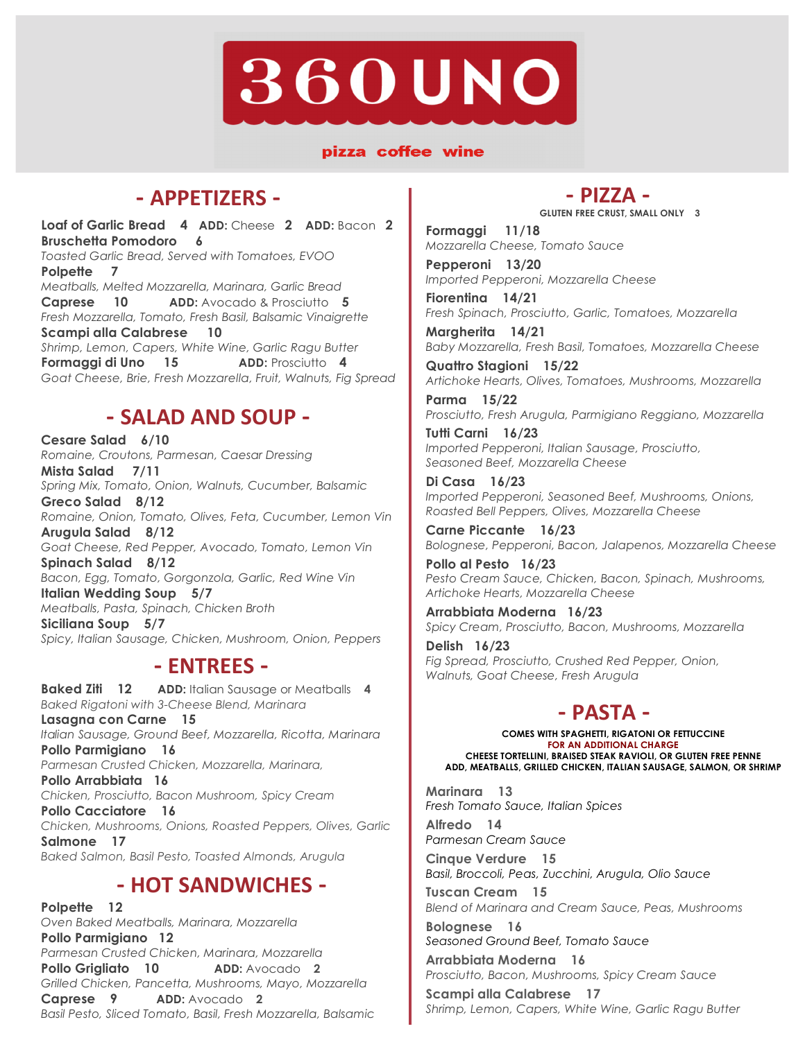# **360UNO**

#### pizza coffee wine

# **- APPETIZERS -**

**Loaf of Garlic Bread 4 ADD:** Cheese **2 ADD:** Bacon **2 Bruschetta Pomodoro 6**  *Toasted Garlic Bread, Served with Tomatoes, EVOO*  **Polpette 7**  *Meatballs, Melted Mozzarella, Marinara, Garlic Bread* **Caprese 10 ADD:** Avocado & Prosciutto **5** *Fresh Mozzarella, Tomato, Fresh Basil, Balsamic Vinaigrette*  **Scampi alla Calabrese 10**  *Shrimp, Lemon, Capers, White Wine, Garlic Ragu Butter*  **Formaggi di Uno 15 ADD:** Prosciutto **4** *Goat Cheese, Brie, Fresh Mozzarella, Fruit, Walnuts, Fig Spread* 

# **- SALAD AND SOUP -**

**Cesare Salad 6/10** *Romaine, Croutons, Parmesan, Caesar Dressing* **Mista Salad 7/11** *Spring Mix, Tomato, Onion, Walnuts, Cucumber, Balsamic* **Greco Salad 8/12** *Romaine, Onion, Tomato, Olives, Feta, Cucumber, Lemon Vin* **Arugula Salad 8/12** *Goat Cheese, Red Pepper, Avocado, Tomato, Lemon Vin* **Spinach Salad 8/12** *Bacon, Egg, Tomato, Gorgonzola, Garlic, Red Wine Vin* **Italian Wedding Soup 5/7** *Meatballs, Pasta, Spinach, Chicken Broth*  **Siciliana Soup 5/7** *Spicy, Italian Sausage, Chicken, Mushroom, Onion, Peppers*

## **- ENTREES -**

**Baked Ziti 12 ADD:** Italian Sausage or Meatballs **4** *Baked Rigatoni with 3-Cheese Blend, Marinara* **Lasagna con Carne 15** *Ita lian Sausage, Ground Beef, Mozzarella, Ricotta, Marinara* **Pollo Parmigiano 16**  *Parmesan Crusted Chicken, Mozzarella, Marinara,*  **Pollo Arrabbiata 16**  *Chicken, Prosciutto, Bacon Mushroom, Spicy Cream*  **Pollo Cacciatore 16**  *Chicken, Mushrooms, Onions, Roasted Peppers, Olives, Garlic* **Salmone 17** *Baked Salmon, Basil Pesto, Toasted Almonds, Arugula*

# **- HOT SANDWICHES -**

**Polpette 12** *Oven Baked Meatballs, Marinara, Mozzarella* **Pollo Parmigiano 12**  *Parmesan Crusted Chicken, Marinara, Mozzarella* **Pollo Grigliato 10 ADD:** Avocado **2** *Grilled Chicken, Pancetta, Mushrooms, Mayo, Mozzarella* **Caprese 9 ADD:** Avocado **2** *Basil Pesto, Sliced Tomato, Basil, Fresh Mozzarella, Balsamic*

### **- PIZZA -**

**GLUTEN FREE CRUST, SMALL ONLY 3**

**Formaggi 11/18** *Mozzarella Cheese, Tomato Sauce*

**Pepperoni 13/20** *Imported Pepperoni, Mozzarella Cheese*

**Fiorentina 14/21** *Fresh Spinach, Prosciutto, Garlic, Tomatoes, Mozzarella*

**Margherita 14/21** *Baby Mozzarella, Fresh Basil, Tomatoes, Mozzarella Cheese*

**Quattro Stagioni 15/22** *Artichoke Hearts, Olives, Tomatoes, Mushrooms, Mozzarella*

**Parma 15/22** *Prosciutto, Fresh Arugula, Parmigiano Reggiano, Mozzarella* 

**Tutti Carni 16/23** *Imported Pepperoni, Italian Sausage, Prosciutto, Seasoned Beef, Mozzarella Cheese*

**Di Casa 16/23** *Imported Pepperoni, Seasoned Beef, Mushrooms, Onions, Roasted Bell Peppers, Olives, Mozzarella Cheese*

**Carne Piccante 16/23** *Bolognese, Pepperoni, Bacon, Jalapenos, Mozzarella Cheese*

**Pollo al Pesto 16/23** *Pesto Cream Sauce, Chicken, Bacon, Spinach, Mushrooms, Artichoke Hearts, Mozzarella Cheese*

**Arrabbiata Moderna 16/23** *Spicy Cream, Prosciutto, Bacon, Mushrooms, Mozzarella*

**Delish 16/23** *Fig Spread, Prosciutto, Crushed Red Pepper, Onion, Walnuts, Goat Cheese, Fresh Arugula*

### **- PASTA -**

**COMES WITH SPAGHETTI, RIGATONI OR FETTUCCINE FOR AN ADDITIONAL CHARGE CHEESE TORTELLINI, BRAISED STEAK RAVIOLI, OR GLUTEN FREE PENNE ADD, MEATBALLS, GRILLED CHICKEN, ITALIAN SAUSAGE, SALMON, OR SHRIMP**

**Marinara 13**  *Fresh Tomato Sauce, Italian Spices*

**Alfredo 14**  *Parmesan Cream Sauce*

**Cinque Verdure 15**  *Basil, Broccoli, Peas, Zucchini, Arugula, Olio Sauce*

**Tuscan Cream 15** *Blend of Marinara and Cream Sauce, Peas, Mushrooms*

**Bolognese 16**  *Seasoned Ground Beef, Tomato Sauce*

**Arrabbiata Moderna 16**  *Prosciutto, Bacon, Mushrooms, Spicy Cream Sauce*

**Scampi alla Calabrese 17**  *Shrimp, Lemon, Capers, White Wine, Garlic Ragu Butter*